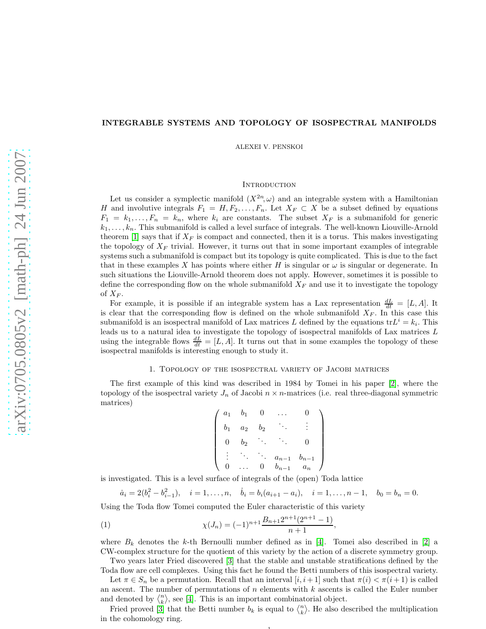## INTEGRABLE SYSTEMS AND TOPOLOGY OF ISOSPECTRAL MANIFOLDS

ALEXEI V. PENSKOI

# **INTRODUCTION**

Let us consider a symplectic manifold  $(X^{2n}, \omega)$  and an integrable system with a Hamiltonian H and involutive integrals  $F_1 = H, F_2, \ldots, F_n$ . Let  $X_F \subset X$  be a subset defined by equations  $F_1 = k_1, \ldots, F_n = k_n$ , where  $k_i$  are constants. The subset  $X_F$  is a submanifold for generic  $k_1, \ldots, k_n$ . This submanifold is called a level surface of integrals. The well-known Liouville-Arnold theorem [\[1\]](#page-4-0) says that if  $X_F$  is compact and connected, then it is a torus. This makes investigating the topology of  $X_F$  trivial. However, it turns out that in some important examples of integrable systems such a submanifold is compact but its topology is quite complicated. This is due to the fact that in these examples X has points where either H is singular or  $\omega$  is singular or degenerate. In such situations the Liouville-Arnold theorem does not apply. However, sometimes it is possible to define the corresponding flow on the whole submanifold  $X_F$  and use it to investigate the topology of  $X_F$ .

For example, it is possible if an integrable system has a Lax representation  $\frac{dL}{dt} = [L, A]$ . It is clear that the corresponding flow is defined on the whole submanifold  $X_F$ . In this case this submanifold is an isospectral manifold of Lax matrices L defined by the equations  $tr L^i = k_i$ . This leads us to a natural idea to investigate the topology of isospectral manifolds of Lax matrices L using the integrable flows  $\frac{dL}{dt} = [L, A]$ . It turns out that in some examples the topology of these isospectral manifolds is interesting enough to study it.

## 1. Topology of the isospectral variety of Jacobi matrices

The first example of this kind was described in 1984 by Tomei in his paper [\[2\]](#page-4-1), where the topology of the isospectral variety  $J_n$  of Jacobi  $n \times n$ -matrices (i.e. real three-diagonal symmetric matrices)

$$
\left(\begin{array}{cccc} a_1 & b_1 & 0 & \dots & 0 \\ b_1 & a_2 & b_2 & \ddots & \vdots \\ 0 & b_2 & \ddots & \ddots & 0 \\ \vdots & \ddots & \ddots & a_{n-1} & b_{n-1} \\ 0 & \dots & 0 & b_{n-1} & a_n \end{array}\right)
$$

is investigated. This is a level surface of integrals of the (open) Toda lattice

<span id="page-0-0"></span>
$$
\dot{a}_i = 2(b_i^2 - b_{i-1}^2), \quad i = 1, \dots, n, \quad \dot{b}_i = b_i(a_{i+1} - a_i), \quad i = 1, \dots, n-1, \quad b_0 = b_n = 0.
$$

Using the Toda flow Tomei computed the Euler characteristic of this variety

(1) 
$$
\chi(J_n) = (-1)^{n+1} \frac{B_{n+1} 2^{n+1} (2^{n+1} - 1)}{n+1},
$$

where  $B_k$  denotes the k-th Bernoulli number defined as in [\[4\]](#page-4-2). Tomei also described in [\[2\]](#page-4-1) a CW-complex structure for the quotient of this variety by the action of a discrete symmetry group.

Two years later Fried discovered [\[3\]](#page-4-3) that the stable and unstable stratifications defined by the Toda flow are cell complexes. Using this fact he found the Betti numbers of this isospectral variety.

Let  $\pi \in S_n$  be a permutation. Recall that an interval  $[i, i+1]$  such that  $\pi(i) < \pi(i+1)$  is called an ascent. The number of permutations of  $n$  elements with  $k$  ascents is called the Euler number and denoted by  $\langle \binom{n}{k}$ , see [\[4\]](#page-4-2). This is an important combinatorial object.

Fried proved [\[3\]](#page-4-3) that the Betti number  $b_k$  is equal to  $\langle \binom{n}{k}$ . He also described the multiplication in the cohomology ring.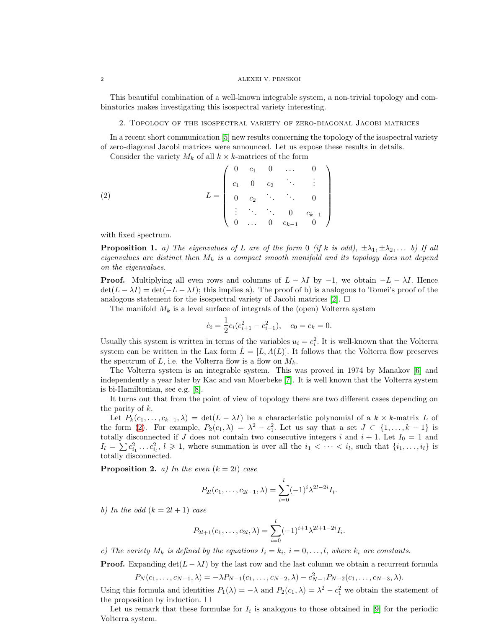#### 2 ALEXEI V. PENSKOI

This beautiful combination of a well-known integrable system, a non-trivial topology and combinatorics makes investigating this isospectral variety interesting.

#### 2. Topology of the isospectral variety of zero-diagonal Jacobi matrices

In a recent short communication [\[5\]](#page-4-4) new results concerning the topology of the isospectral variety of zero-diagonal Jacobi matrices were announced. Let us expose these results in details.

<span id="page-1-0"></span>Consider the variety  $M_k$  of all  $k \times k$ -matrices of the form

(2) 
$$
L = \begin{pmatrix} 0 & c_1 & 0 & \dots & 0 \\ c_1 & 0 & c_2 & \ddots & \vdots \\ 0 & c_2 & \ddots & \ddots & 0 \\ \vdots & \ddots & \ddots & 0 & c_{k-1} \\ 0 & \dots & 0 & c_{k-1} & 0 \end{pmatrix}
$$

with fixed spectrum.

<span id="page-1-1"></span>**Proposition 1.** a) The eigenvalues of L are of the form 0 (if k is odd),  $\pm \lambda_1, \pm \lambda_2, \ldots$  b) If all eigenvalues are distinct then  $M_k$  is a compact smooth manifold and its topology does not depend on the eigenvalues.

**Proof.** Multiplying all even rows and columns of  $L - \lambda I$  by  $-1$ , we obtain  $-L - \lambda I$ . Hence  $\det(L - \lambda I) = \det(-L - \lambda I);$  this implies a). The proof of b) is analogous to Tomei's proof of the analogous statement for the isospectral variety of Jacobi matrices [\[2\]](#page-4-1).  $\Box$ 

The manifold  $M_k$  is a level surface of integrals of the (open) Volterra system

$$
\dot{c}_i = \frac{1}{2}c_i(c_{i+1}^2 - c_{i-1}^2), \quad c_0 = c_k = 0.
$$

Usually this system is written in terms of the variables  $u_i = c_i^2$ . It is well-known that the Volterra system can be written in the Lax form  $\dot{L} = [L, A(L)]$ . It follows that the Volterra flow preserves the spectrum of L, i.e. the Volterra flow is a flow on  $M_k$ .

The Volterra system is an integrable system. This was proved in 1974 by Manakov [\[6\]](#page-4-5) and independently a year later by Kac and van Moerbeke [\[7\]](#page-4-6). It is well known that the Volterra system is bi-Hamiltonian, see e.g. [\[8\]](#page-4-7).

It turns out that from the point of view of topology there are two different cases depending on the parity of k.

Let  $P_k(c_1, \ldots, c_{k-1}, \lambda) = \det(L - \lambda I)$  be a characteristic polynomial of a  $k \times k$ -matrix L of the form [\(2\)](#page-1-0). For example,  $P_2(c_1, \lambda) = \lambda^2 - c_1^2$ . Let us say that a set  $J \subset \{1, ..., k-1\}$  is totally disconnected if J does not contain two consecutive integers i and  $i + 1$ . Let  $I_0 = 1$  and  $I_l = \sum c_{i_1}^2 \ldots c_{i_l}^2$ ,  $l \geqslant 1$ , where summation is over all the  $i_1 < \cdots < i_l$ , such that  $\{i_1, \ldots, i_l\}$  is totally disconnected.

**Proposition 2.** *a)* In the even  $(k = 2l)$  case

$$
P_{2l}(c_1,\ldots,c_{2l-1},\lambda)=\sum_{i=0}^l(-1)^i\lambda^{2l-2i}I_i.
$$

b) In the odd  $(k = 2l + 1)$  case

$$
P_{2l+1}(c_1,\ldots,c_{2l},\lambda)=\sum_{i=0}^l(-1)^{i+1}\lambda^{2l+1-2i}I_i.
$$

c) The variety  $M_k$  is defined by the equations  $I_i = k_i$ ,  $i = 0, \ldots, l$ , where  $k_i$  are constants.

**Proof.** Expanding  $det(L - \lambda I)$  by the last row and the last column we obtain a recurrent formula

$$
P_N(c_1,\ldots,c_{N-1},\lambda)=-\lambda P_{N-1}(c_1,\ldots,c_{N-2},\lambda)-c_{N-1}^2P_{N-2}(c_1,\ldots,c_{N-3},\lambda).
$$

Using this formula and identities  $P_1(\lambda) = -\lambda$  and  $P_2(c_1, \lambda) = \lambda^2 - c_1^2$  we obtain the statement of the proposition by induction.  $\square$ 

Let us remark that these formulae for  $I_i$  is analogous to those obtained in [\[9\]](#page-4-8) for the periodic Volterra system.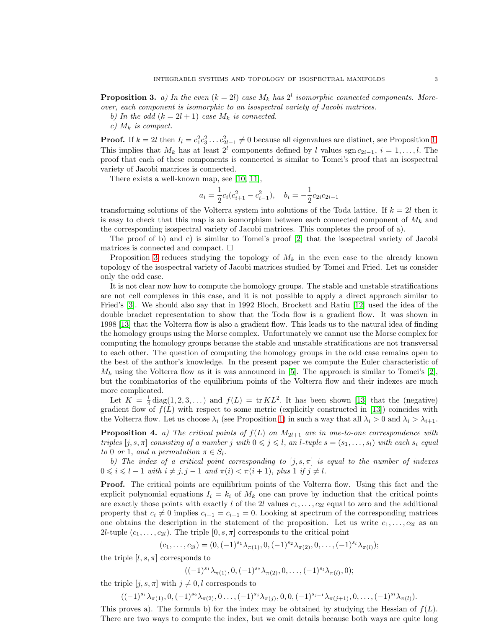<span id="page-2-0"></span>**Proposition 3.** a) In the even  $(k = 2l)$  case  $M_k$  has  $2^l$  isomorphic connected components. Moreover, each component is isomorphic to an isospectral variety of Jacobi matrices.

b) In the odd  $(k = 2l + 1)$  case  $M_k$  is connected.

c)  $M_k$  is compact.

**Proof.** If  $k = 2l$  then  $I_l = c_1^2 c_3^2 \dots c_{2l-1}^2 \neq 0$  because all eigenvalues are distinct, see Proposition [1.](#page-1-1) This implies that  $M_k$  has at least  $2^l$  components defined by l values sgn  $c_{2i-1}$ ,  $i = 1, \ldots, l$ . The proof that each of these components is connected is similar to Tomei's proof that an isospectral variety of Jacobi matrices is connected.

There exists a well-known map, see [\[10,](#page-4-9) [11\]](#page-4-10),

$$
a_i = \frac{1}{2}c_i(c_{i+1}^2 - c_{i-1}^2), \quad b_i = -\frac{1}{2}c_{2i}c_{2i-1}
$$

transforming solutions of the Volterra system into solutions of the Toda lattice. If  $k = 2l$  then it is easy to check that this map is an isomorphism between each connected component of  $M_k$  and the corresponding isospectral variety of Jacobi matrices. This completes the proof of a).

The proof of b) and c) is similar to Tomei's proof [\[2\]](#page-4-1) that the isospectral variety of Jacobi matrices is connected and compact.  $\Box$ 

Proposition [3](#page-2-0) reduces studying the topology of  $M_k$  in the even case to the already known topology of the isospectral variety of Jacobi matrices studied by Tomei and Fried. Let us consider only the odd case.

It is not clear now how to compute the homology groups. The stable and unstable stratifications are not cell complexes in this case, and it is not possible to apply a direct approach similar to Fried's [\[3\]](#page-4-3). We should also say that in 1992 Bloch, Brockett and Ratiu [\[12\]](#page-4-11) used the idea of the double bracket representation to show that the Toda flow is a gradient flow. It was shown in 1998 [\[13\]](#page-4-12) that the Volterra flow is also a gradient flow. This leads us to the natural idea of finding the homology groups using the Morse complex. Unfortunately we cannot use the Morse complex for computing the homology groups because the stable and unstable stratifications are not transversal to each other. The question of computing the homology groups in the odd case remains open to the best of the author's knowledge. In the present paper we compute the Euler characteristic of  $M_k$  using the Volterra flow as it is was announced in [\[5\]](#page-4-4). The approach is similar to Tomei's [\[2\]](#page-4-1), but the combinatorics of the equilibrium points of the Volterra flow and their indexes are much more complicated.

Let  $K = \frac{1}{4} \text{diag}(1, 2, 3, ...)$  and  $f(L) = \text{tr } KL^2$ . It has been shown [\[13\]](#page-4-12) that the (negative) gradient flow of  $f(L)$  with respect to some metric (explicitly constructed in [\[13\]](#page-4-12)) coincides with the Volterra flow. Let us choose  $\lambda_i$  (see Proposition [1\)](#page-1-1) in such a way that all  $\lambda_i > 0$  and  $\lambda_i > \lambda_{i+1}$ .

<span id="page-2-1"></span>**Proposition 4.** a) The critical points of  $f(L)$  on  $M_{2l+1}$  are in one-to-one correspondence with triples  $[j, s, \pi]$  consisting of a number j with  $0 \leq j \leq l$ , an l-tuple  $s = (s_1, \ldots, s_l)$  with each  $s_i$  equal to 0 or 1, and a permutation  $\pi \in S_l$ .

b) The index of a critical point corresponding to  $[j, s, \pi]$  is equal to the number of indexes  $0 \leq i \leq l - 1$  with  $i \neq j, j - 1$  and  $\pi(i) < \pi(i + 1)$ , plus 1 if  $j \neq l$ .

Proof. The critical points are equilibrium points of the Volterra flow. Using this fact and the explicit polynomial equations  $I_i = k_i$  of  $M_k$  one can prove by induction that the critical points are exactly those points with exactly l of the 2l values  $c_1, \ldots, c_{2l}$  equal to zero and the additional property that  $c_i \neq 0$  implies  $c_{i-1} = c_{i+1} = 0$ . Looking at spectrum of the corresponding matrices one obtains the description in the statement of the proposition. Let us write  $c_1, \ldots, c_{2l}$  as an 2*l*-tuple  $(c_1, \ldots, c_{2l})$ . The triple  $[0, s, \pi]$  corresponds to the critical point

$$
(c_1,\ldots,c_{2l})=(0,(-1)^{s_1}\lambda_{\pi(1)},0,(-1)^{s_2}\lambda_{\pi(2)},0,\ldots,(-1)^{s_l}\lambda_{\pi(l)});
$$

the triple  $[l, s, \pi]$  corresponds to

 $((-1)^{s_1} \lambda_{\pi(1)}, 0, (-1)^{s_2} \lambda_{\pi(2)}, 0, \ldots, (-1)^{s_l} \lambda_{\pi(l)}, 0);$ 

the triple  $[j, s, \pi]$  with  $j \neq 0, l$  corresponds to

 $((-1)^{s_1}\lambda_{\pi(1)}, 0, (-1)^{s_2}\lambda_{\pi(2)}, 0 \ldots, (-1)^{s_j}\lambda_{\pi(j)}, 0, 0, (-1)^{s_{j+1}}\lambda_{\pi(j+1)}, 0, \ldots, (-1)^{s_l}\lambda_{\pi(l)}).$ 

This proves a). The formula b) for the index may be obtained by studying the Hessian of  $f(L)$ . There are two ways to compute the index, but we omit details because both ways are quite long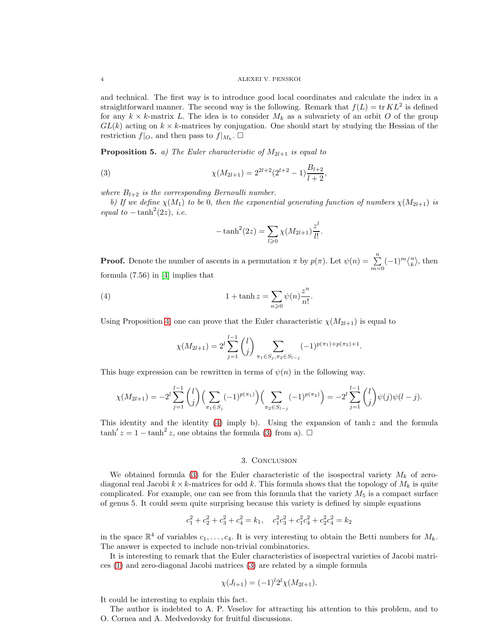and technical. The first way is to introduce good local coordinates and calculate the index in a straightforward manner. The second way is the following. Remark that  $f(L) = \text{tr } KL^2$  is defined for any  $k \times k$ -matrix L. The idea is to consider  $M_k$  as a subvariety of an orbit O of the group  $GL(k)$  acting on  $k \times k$ -matrices by conjugation. One should start by studying the Hessian of the restriction  $f|_O$ , and then pass to  $f|_{M_k}$ .  $\square$ 

**Proposition 5.** a) The Euler characteristic of  $M_{2l+1}$  is equal to

(3) 
$$
\chi(M_{2l+1}) = 2^{2l+2}(2^{l+2} - 1)\frac{B_{l+2}}{l+2},
$$

where  $B_{l+2}$  is the corresponding Bernoulli number.

b) If we define  $\chi(M_1)$  to be 0, then the exponential generating function of numbers  $\chi(M_{2l+1})$  is equal to  $-\tanh^2(2z)$ , *i.e.* 

<span id="page-3-1"></span>
$$
-\tanh^2(2z) = \sum_{l \geq 0} \chi(M_{2l+1}) \frac{z^l}{l!}.
$$

**Proof.** Denote the number of ascents in a permutation  $\pi$  by  $p(\pi)$ . Let  $\psi(n) = \sum_{m=0}^{n} (-1)^m \binom{n}{k}$ , then formula (7.56) in [\[4\]](#page-4-2) implies that

(4) 
$$
1 + \tanh z = \sum_{n\geqslant 0} \psi(n) \frac{z^n}{n!}.
$$

Using Proposition [4,](#page-2-1) one can prove that the Euler characteristic  $\chi(M_{2l+1})$  is equal to

<span id="page-3-0"></span>
$$
\chi(M_{2l+1}) = 2^l \sum_{j=1}^{l-1} \binom{l}{j} \sum_{\pi_1 \in S_j, \pi_2 \in S_{l-j}} (-1)^{p(\pi_1) + p(\pi_2) + 1}.
$$

This huge expression can be rewritten in terms of  $\psi(n)$  in the following way.

$$
\chi(M_{2l+1}) = -2^l \sum_{j=1}^{l-1} {l \choose j} \Big(\sum_{\pi_1 \in S_j} (-1)^{p(\pi_1)}\Big) \Big(\sum_{\pi_2 \in S_{l-j}} (-1)^{p(\pi_2)}\Big) = -2^l \sum_{j=1}^{l-1} {l \choose j} \psi(j) \psi(l-j).
$$

This identity and the identity [\(4\)](#page-3-0) imply b). Using the expansion of  $tanh z$  and the formula tanh'  $z = 1 - \tanh^2 z$ , one obtains the formula [\(3\)](#page-3-1) from a). □

## 3. Conclusion

We obtained formula [\(3\)](#page-3-1) for the Euler characteristic of the isospectral variety  $M_k$  of zerodiagonal real Jacobi  $k \times k$ -matrices for odd k. This formula shows that the topology of  $M_k$  is quite complicated. For example, one can see from this formula that the variety  $M_5$  is a compact surface of genus 5. It could seem quite surprising because this variety is defined by simple equations

$$
c_1^2 + c_2^2 + c_3^2 + c_4^2 = k_1
$$
,  $c_1^2c_3^2 + c_1^2c_4^2 + c_2^2c_4^2 = k_2$ 

in the space  $\mathbb{R}^4$  of variables  $c_1, \ldots, c_4$ . It is very interesting to obtain the Betti numbers for  $M_k$ . The answer is expected to include non-trivial combinatorics.

It is interesting to remark that the Euler characteristics of isospectral varieties of Jacobi matrices [\(1\)](#page-0-0) and zero-diagonal Jacobi matrices [\(3\)](#page-3-1) are related by a simple formula

$$
\chi(J_{l+1}) = (-1)^l 2^l \chi(M_{2l+1}).
$$

It could be interesting to explain this fact.

The author is indebted to A. P. Veselov for attracting his attention to this problem, and to O. Cornea and A. Medvedovsky for fruitful discussions.